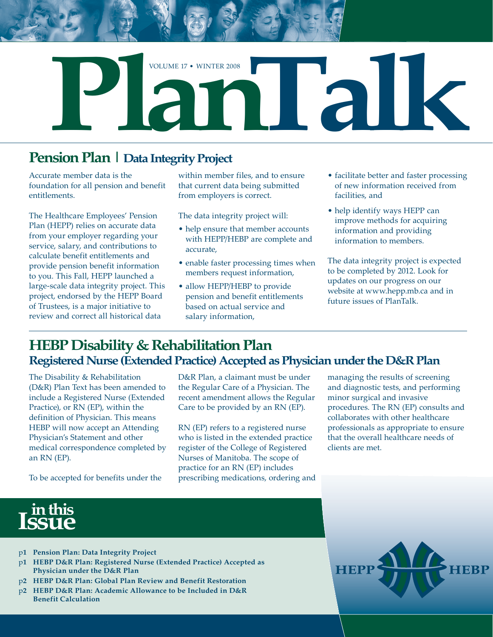

# **Pension Plan | Data Integrity Project**

Accurate member data is the foundation for all pension and benefit entitlements.

The Healthcare Employees' Pension Plan (HEPP) relies on accurate data from your employer regarding your service, salary, and contributions to calculate benefit entitlements and provide pension benefit information to you. This Fall, HEPP launched a large-scale data integrity project. This project, endorsed by the HEPP Board of Trustees, is a major initiative to review and correct all historical data

within member files, and to ensure that current data being submitted from employers is correct.

The data integrity project will:

- help ensure that member accounts with HEPP/HEBP are complete and accurate,
- enable faster processing times when members request information,
- allow HEPP/HEBP to provide pension and benefit entitlements based on actual service and salary information,
- facilitate better and faster processing of new information received from facilities, and
- help identify ways HEPP can improve methods for acquiring information and providing information to members.

The data integrity project is expected to be completed by 2012. Look for updates on our progress on our website at www.hepp.mb.ca and in future issues of PlanTalk.

## **HEBP Disability & Rehabilitation Plan Registered Nurse (Extended Practice) Accepted as Physician under the D&R Plan**

The Disability & Rehabilitation (D&R) Plan Text has been amended to include a Registered Nurse (Extended Practice), or RN (EP), within the definition of Physician. This means HEBP will now accept an Attending Physician's Statement and other medical correspondence completed by an RN (EP).

To be accepted for benefits under the

D&R Plan, a claimant must be under the Regular Care of a Physician. The recent amendment allows the Regular Care to be provided by an RN (EP).

RN (EP) refers to a registered nurse who is listed in the extended practice register of the College of Registered Nurses of Manitoba. The scope of practice for an RN (EP) includes prescribing medications, ordering and managing the results of screening and diagnostic tests, and performing minor surgical and invasive procedures. The RN (EP) consults and collaborates with other healthcare professionals as appropriate to ensure that the overall healthcare needs of clients are met.



- p**1 Pension Plan: Data Integrity Project**
- p**1 HEBP D&R Plan: Registered Nurse (Extended Practice) Accepted as Physician under the D&R Plan**
- p**2 HEBP D&R Plan: Global Plan Review and Benefit Restoration**
- p**2 HEBP D&R Plan: Academic Allowance to be Included in D&R Benefit Calculation**